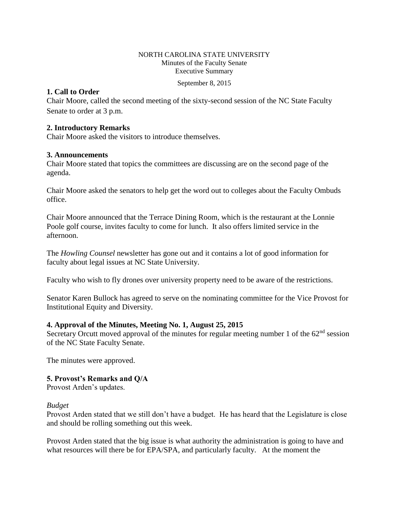#### NORTH CAROLINA STATE UNIVERSITY Minutes of the Faculty Senate Executive Summary

September 8, 2015

# **1. Call to Order**

Chair Moore, called the second meeting of the sixty-second session of the NC State Faculty Senate to order at 3 p.m.

# **2. Introductory Remarks**

Chair Moore asked the visitors to introduce themselves.

# **3. Announcements**

Chair Moore stated that topics the committees are discussing are on the second page of the agenda.

Chair Moore asked the senators to help get the word out to colleges about the Faculty Ombuds office.

Chair Moore announced that the Terrace Dining Room, which is the restaurant at the Lonnie Poole golf course, invites faculty to come for lunch. It also offers limited service in the afternoon.

The *Howling Counsel* newsletter has gone out and it contains a lot of good information for faculty about legal issues at NC State University.

Faculty who wish to fly drones over university property need to be aware of the restrictions.

Senator Karen Bullock has agreed to serve on the nominating committee for the Vice Provost for Institutional Equity and Diversity.

# **4. Approval of the Minutes, Meeting No. 1, August 25, 2015**

Secretary Orcutt moved approval of the minutes for regular meeting number 1 of the  $62<sup>nd</sup>$  session of the NC State Faculty Senate.

The minutes were approved.

# **5. Provost's Remarks and Q/A**

Provost Arden's updates.

### *Budget*

Provost Arden stated that we still don't have a budget. He has heard that the Legislature is close and should be rolling something out this week.

Provost Arden stated that the big issue is what authority the administration is going to have and what resources will there be for EPA/SPA, and particularly faculty. At the moment the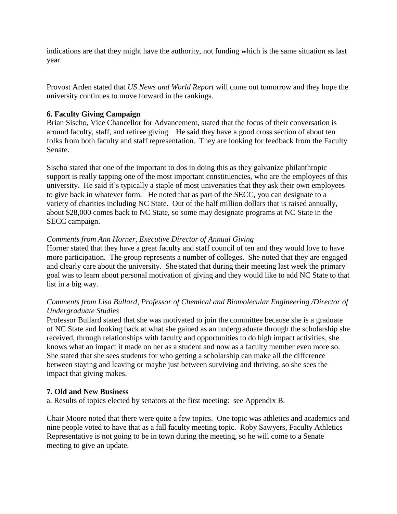indications are that they might have the authority, not funding which is the same situation as last year.

Provost Arden stated that *US News and World Report* will come out tomorrow and they hope the university continues to move forward in the rankings.

# **6. Faculty Giving Campaign**

Brian Sischo, Vice Chancellor for Advancement, stated that the focus of their conversation is around faculty, staff, and retiree giving. He said they have a good cross section of about ten folks from both faculty and staff representation. They are looking for feedback from the Faculty Senate.

Sischo stated that one of the important to dos in doing this as they galvanize philanthropic support is really tapping one of the most important constituencies, who are the employees of this university. He said it's typically a staple of most universities that they ask their own employees to give back in whatever form. He noted that as part of the SECC, you can designate to a variety of charities including NC State. Out of the half million dollars that is raised annually, about \$28,000 comes back to NC State, so some may designate programs at NC State in the SECC campaign.

# *Comments from Ann Horner, Executive Director of Annual Giving*

Horner stated that they have a great faculty and staff council of ten and they would love to have more participation. The group represents a number of colleges. She noted that they are engaged and clearly care about the university. She stated that during their meeting last week the primary goal was to learn about personal motivation of giving and they would like to add NC State to that list in a big way.

# *Comments from Lisa Bullard, Professor of Chemical and Biomolecular Engineering /Director of Undergraduate Studies*

Professor Bullard stated that she was motivated to join the committee because she is a graduate of NC State and looking back at what she gained as an undergraduate through the scholarship she received, through relationships with faculty and opportunities to do high impact activities, she knows what an impact it made on her as a student and now as a faculty member even more so. She stated that she sees students for who getting a scholarship can make all the difference between staying and leaving or maybe just between surviving and thriving, so she sees the impact that giving makes.

### **7. Old and New Business**

a. Results of topics elected by senators at the first meeting: see Appendix B.

Chair Moore noted that there were quite a few topics. One topic was athletics and academics and nine people voted to have that as a fall faculty meeting topic. Roby Sawyers, Faculty Athletics Representative is not going to be in town during the meeting, so he will come to a Senate meeting to give an update.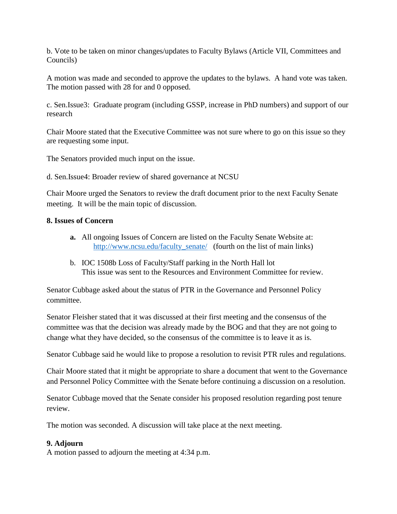b. Vote to be taken on minor changes/updates to Faculty Bylaws (Article VII, Committees and Councils)

A motion was made and seconded to approve the updates to the bylaws. A hand vote was taken. The motion passed with 28 for and 0 opposed.

c. Sen.Issue3: Graduate program (including GSSP, increase in PhD numbers) and support of our research

Chair Moore stated that the Executive Committee was not sure where to go on this issue so they are requesting some input.

The Senators provided much input on the issue.

d. Sen.Issue4: Broader review of shared governance at NCSU

Chair Moore urged the Senators to review the draft document prior to the next Faculty Senate meeting. It will be the main topic of discussion.

# **8. Issues of Concern**

- **a.** All ongoing Issues of Concern are listed on the Faculty Senate Website at: [http://www.ncsu.edu/faculty\\_senate/](http://www.ncsu.edu/faculty_senate/) (fourth on the list of main links)
- b. IOC 1508b Loss of Faculty/Staff parking in the North Hall lot This issue was sent to the Resources and Environment Committee for review.

Senator Cubbage asked about the status of PTR in the Governance and Personnel Policy committee.

Senator Fleisher stated that it was discussed at their first meeting and the consensus of the committee was that the decision was already made by the BOG and that they are not going to change what they have decided, so the consensus of the committee is to leave it as is.

Senator Cubbage said he would like to propose a resolution to revisit PTR rules and regulations.

Chair Moore stated that it might be appropriate to share a document that went to the Governance and Personnel Policy Committee with the Senate before continuing a discussion on a resolution.

Senator Cubbage moved that the Senate consider his proposed resolution regarding post tenure review.

The motion was seconded. A discussion will take place at the next meeting.

### **9. Adjourn**

A motion passed to adjourn the meeting at 4:34 p.m.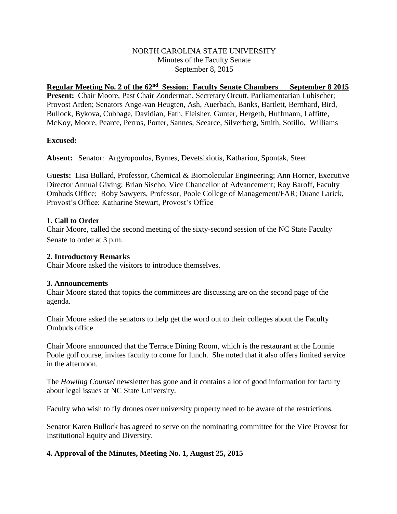## NORTH CAROLINA STATE UNIVERSITY Minutes of the Faculty Senate September 8, 2015

Regular Meeting No. 2 of the 62<sup>nd</sup> Session: Faculty Senate Chambers September 8 2015 Present: Chair Moore, Past Chair Zonderman, Secretary Orcutt, Parliamentarian Lubischer; Provost Arden; Senators Ange-van Heugten, Ash, Auerbach, Banks, Bartlett, Bernhard, Bird, Bullock, Bykova, Cubbage, Davidian, Fath, Fleisher, Gunter, Hergeth, Huffmann, Laffitte, McKoy, Moore, Pearce, Perros, Porter, Sannes, Scearce, Silverberg, Smith, Sotillo, Williams

### **Excused:**

**Absent:** Senator: Argyropoulos, Byrnes, Devetsikiotis, Kathariou, Spontak, Steer

G**uests:** Lisa Bullard, Professor, Chemical & Biomolecular Engineering; Ann Horner, Executive Director Annual Giving; Brian Sischo, Vice Chancellor of Advancement; Roy Baroff, Faculty Ombuds Office; Roby Sawyers, Professor, Poole College of Management/FAR; Duane Larick, Provost's Office; Katharine Stewart, Provost's Office

# **1. Call to Order**

Chair Moore, called the second meeting of the sixty-second session of the NC State Faculty Senate to order at 3 p.m.

## **2. Introductory Remarks**

Chair Moore asked the visitors to introduce themselves.

### **3. Announcements**

Chair Moore stated that topics the committees are discussing are on the second page of the agenda.

Chair Moore asked the senators to help get the word out to their colleges about the Faculty Ombuds office.

Chair Moore announced that the Terrace Dining Room, which is the restaurant at the Lonnie Poole golf course, invites faculty to come for lunch. She noted that it also offers limited service in the afternoon.

The *Howling Counsel* newsletter has gone and it contains a lot of good information for faculty about legal issues at NC State University.

Faculty who wish to fly drones over university property need to be aware of the restrictions.

Senator Karen Bullock has agreed to serve on the nominating committee for the Vice Provost for Institutional Equity and Diversity.

# **4. Approval of the Minutes, Meeting No. 1, August 25, 2015**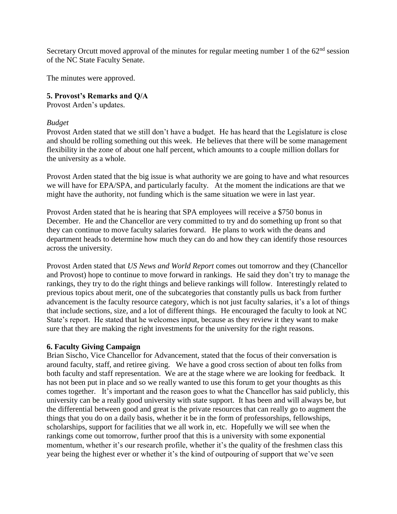Secretary Orcutt moved approval of the minutes for regular meeting number 1 of the  $62<sup>nd</sup>$  session of the NC State Faculty Senate.

The minutes were approved.

# **5. Provost's Remarks and Q/A**

Provost Arden's updates.

### *Budget*

Provost Arden stated that we still don't have a budget. He has heard that the Legislature is close and should be rolling something out this week. He believes that there will be some management flexibility in the zone of about one half percent, which amounts to a couple million dollars for the university as a whole.

Provost Arden stated that the big issue is what authority we are going to have and what resources we will have for EPA/SPA, and particularly faculty. At the moment the indications are that we might have the authority, not funding which is the same situation we were in last year.

Provost Arden stated that he is hearing that SPA employees will receive a \$750 bonus in December. He and the Chancellor are very committed to try and do something up front so that they can continue to move faculty salaries forward. He plans to work with the deans and department heads to determine how much they can do and how they can identify those resources across the university.

Provost Arden stated that *US News and World Report* comes out tomorrow and they (Chancellor and Provost) hope to continue to move forward in rankings. He said they don't try to manage the rankings, they try to do the right things and believe rankings will follow. Interestingly related to previous topics about merit, one of the subcategories that constantly pulls us back from further advancement is the faculty resource category, which is not just faculty salaries, it's a lot of things that include sections, size, and a lot of different things. He encouraged the faculty to look at NC State's report. He stated that he welcomes input, because as they review it they want to make sure that they are making the right investments for the university for the right reasons.

### **6. Faculty Giving Campaign**

Brian Sischo, Vice Chancellor for Advancement, stated that the focus of their conversation is around faculty, staff, and retiree giving. We have a good cross section of about ten folks from both faculty and staff representation. We are at the stage where we are looking for feedback. It has not been put in place and so we really wanted to use this forum to get your thoughts as this comes together. It's important and the reason goes to what the Chancellor has said publicly, this university can be a really good university with state support. It has been and will always be, but the differential between good and great is the private resources that can really go to augment the things that you do on a daily basis, whether it be in the form of professorships, fellowships, scholarships, support for facilities that we all work in, etc. Hopefully we will see when the rankings come out tomorrow, further proof that this is a university with some exponential momentum, whether it's our research profile, whether it's the quality of the freshmen class this year being the highest ever or whether it's the kind of outpouring of support that we've seen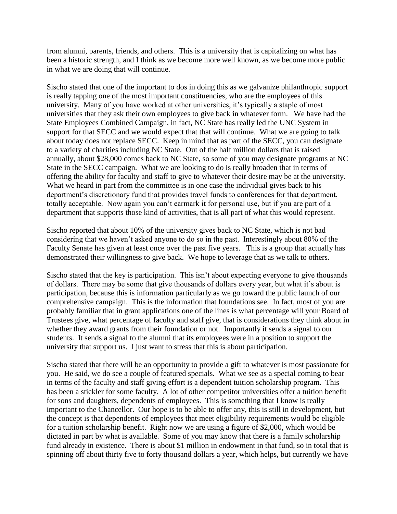from alumni, parents, friends, and others. This is a university that is capitalizing on what has been a historic strength, and I think as we become more well known, as we become more public in what we are doing that will continue.

Sischo stated that one of the important to dos in doing this as we galvanize philanthropic support is really tapping one of the most important constituencies, who are the employees of this university. Many of you have worked at other universities, it's typically a staple of most universities that they ask their own employees to give back in whatever form. We have had the State Employees Combined Campaign, in fact, NC State has really led the UNC System in support for that SECC and we would expect that that will continue. What we are going to talk about today does not replace SECC. Keep in mind that as part of the SECC, you can designate to a variety of charities including NC State. Out of the half million dollars that is raised annually, about \$28,000 comes back to NC State, so some of you may designate programs at NC State in the SECC campaign. What we are looking to do is really broaden that in terms of offering the ability for faculty and staff to give to whatever their desire may be at the university. What we heard in part from the committee is in one case the individual gives back to his department's discretionary fund that provides travel funds to conferences for that department, totally acceptable. Now again you can't earmark it for personal use, but if you are part of a department that supports those kind of activities, that is all part of what this would represent.

Sischo reported that about 10% of the university gives back to NC State, which is not bad considering that we haven't asked anyone to do so in the past. Interestingly about 80% of the Faculty Senate has given at least once over the past five years. This is a group that actually has demonstrated their willingness to give back. We hope to leverage that as we talk to others.

Sischo stated that the key is participation. This isn't about expecting everyone to give thousands of dollars. There may be some that give thousands of dollars every year, but what it's about is participation, because this is information particularly as we go toward the public launch of our comprehensive campaign. This is the information that foundations see. In fact, most of you are probably familiar that in grant applications one of the lines is what percentage will your Board of Trustees give, what percentage of faculty and staff give, that is considerations they think about in whether they award grants from their foundation or not. Importantly it sends a signal to our students. It sends a signal to the alumni that its employees were in a position to support the university that support us. I just want to stress that this is about participation.

Sischo stated that there will be an opportunity to provide a gift to whatever is most passionate for you. He said, we do see a couple of featured specials. What we see as a special coming to bear in terms of the faculty and staff giving effort is a dependent tuition scholarship program. This has been a stickler for some faculty. A lot of other competitor universities offer a tuition benefit for sons and daughters, dependents of employees. This is something that I know is really important to the Chancellor. Our hope is to be able to offer any, this is still in development, but the concept is that dependents of employees that meet eligibility requirements would be eligible for a tuition scholarship benefit. Right now we are using a figure of \$2,000, which would be dictated in part by what is available. Some of you may know that there is a family scholarship fund already in existence. There is about \$1 million in endowment in that fund, so in total that is spinning off about thirty five to forty thousand dollars a year, which helps, but currently we have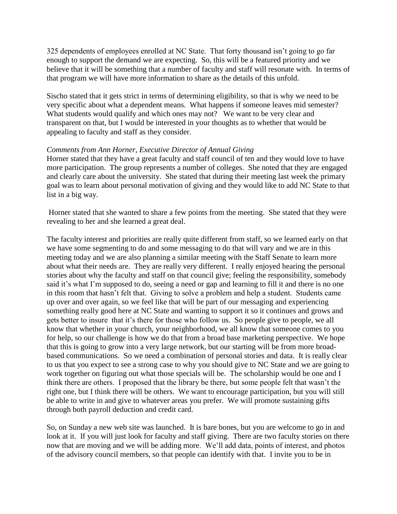325 dependents of employees enrolled at NC State. That forty thousand isn't going to go far enough to support the demand we are expecting. So, this will be a featured priority and we believe that it will be something that a number of faculty and staff will resonate with. In terms of that program we will have more information to share as the details of this unfold.

Sischo stated that it gets strict in terms of determining eligibility, so that is why we need to be very specific about what a dependent means. What happens if someone leaves mid semester? What students would qualify and which ones may not? We want to be very clear and transparent on that, but I would be interested in your thoughts as to whether that would be appealing to faculty and staff as they consider.

### *Comments from Ann Horner, Executive Director of Annual Giving*

Horner stated that they have a great faculty and staff council of ten and they would love to have more participation. The group represents a number of colleges. She noted that they are engaged and clearly care about the university. She stated that during their meeting last week the primary goal was to learn about personal motivation of giving and they would like to add NC State to that list in a big way.

Horner stated that she wanted to share a few points from the meeting. She stated that they were revealing to her and she learned a great deal.

The faculty interest and priorities are really quite different from staff, so we learned early on that we have some segmenting to do and some messaging to do that will vary and we are in this meeting today and we are also planning a similar meeting with the Staff Senate to learn more about what their needs are. They are really very different. I really enjoyed hearing the personal stories about why the faculty and staff on that council give; feeling the responsibility, somebody said it's what I'm supposed to do, seeing a need or gap and learning to fill it and there is no one in this room that hasn't felt that. Giving to solve a problem and help a student. Students came up over and over again, so we feel like that will be part of our messaging and experiencing something really good here at NC State and wanting to support it so it continues and grows and gets better to insure that it's there for those who follow us. So people give to people, we all know that whether in your church, your neighborhood, we all know that someone comes to you for help, so our challenge is how we do that from a broad base marketing perspective. We hope that this is going to grow into a very large network, but our starting will be from more broadbased communications. So we need a combination of personal stories and data. It is really clear to us that you expect to see a strong case to why you should give to NC State and we are going to work together on figuring out what those specials will be. The scholarship would be one and I think there are others. I proposed that the library be there, but some people felt that wasn't the right one, but I think there will be others. We want to encourage participation, but you will still be able to write in and give to whatever areas you prefer. We will promote sustaining gifts through both payroll deduction and credit card.

So, on Sunday a new web site was launched. It is bare bones, but you are welcome to go in and look at it. If you will just look for faculty and staff giving. There are two faculty stories on there now that are moving and we will be adding more. We'll add data, points of interest, and photos of the advisory council members, so that people can identify with that. I invite you to be in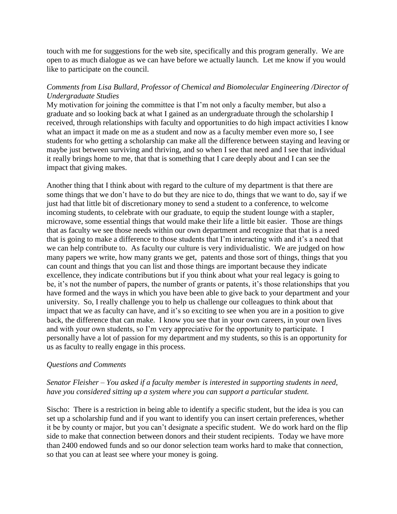touch with me for suggestions for the web site, specifically and this program generally. We are open to as much dialogue as we can have before we actually launch. Let me know if you would like to participate on the council.

# *Comments from Lisa Bullard, Professor of Chemical and Biomolecular Engineering /Director of Undergraduate Studies*

My motivation for joining the committee is that I'm not only a faculty member, but also a graduate and so looking back at what I gained as an undergraduate through the scholarship I received, through relationships with faculty and opportunities to do high impact activities I know what an impact it made on me as a student and now as a faculty member even more so, I see students for who getting a scholarship can make all the difference between staying and leaving or maybe just between surviving and thriving, and so when I see that need and I see that individual it really brings home to me, that that is something that I care deeply about and I can see the impact that giving makes.

Another thing that I think about with regard to the culture of my department is that there are some things that we don't have to do but they are nice to do, things that we want to do, say if we just had that little bit of discretionary money to send a student to a conference, to welcome incoming students, to celebrate with our graduate, to equip the student lounge with a stapler, microwave, some essential things that would make their life a little bit easier. Those are things that as faculty we see those needs within our own department and recognize that that is a need that is going to make a difference to those students that I'm interacting with and it's a need that we can help contribute to. As faculty our culture is very individualistic. We are judged on how many papers we write, how many grants we get, patents and those sort of things, things that you can count and things that you can list and those things are important because they indicate excellence, they indicate contributions but if you think about what your real legacy is going to be, it's not the number of papers, the number of grants or patents, it's those relationships that you have formed and the ways in which you have been able to give back to your department and your university. So, I really challenge you to help us challenge our colleagues to think about that impact that we as faculty can have, and it's so exciting to see when you are in a position to give back, the difference that can make. I know you see that in your own careers, in your own lives and with your own students, so I'm very appreciative for the opportunity to participate. I personally have a lot of passion for my department and my students, so this is an opportunity for us as faculty to really engage in this process.

### *Questions and Comments*

# *Senator Fleisher – You asked if a faculty member is interested in supporting students in need, have you considered sitting up a system where you can support a particular student.*

Sischo: There is a restriction in being able to identify a specific student, but the idea is you can set up a scholarship fund and if you want to identify you can insert certain preferences, whether it be by county or major, but you can't designate a specific student. We do work hard on the flip side to make that connection between donors and their student recipients. Today we have more than 2400 endowed funds and so our donor selection team works hard to make that connection, so that you can at least see where your money is going.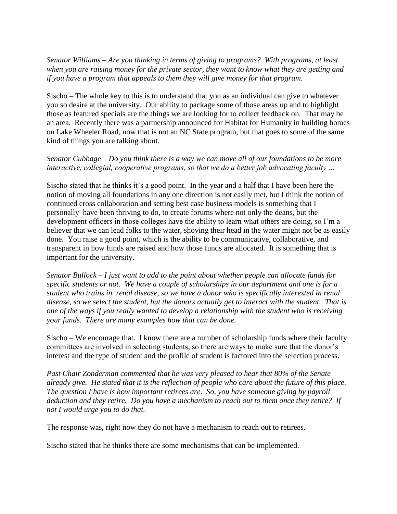*Senator Williams – Are you thinking in terms of giving to programs? With programs, at least when you are raising money for the private sector, they want to know what they are getting and if you have a program that appeals to them they will give money for that program.* 

Sischo – The whole key to this is to understand that you as an individual can give to whatever you so desire at the university. Our ability to package some of those areas up and to highlight those as featured specials are the things we are looking for to collect feedback on. That may be an area. Recently there was a partnership announced for Habitat for Humanity in building homes on Lake Wheeler Road, now that is not an NC State program, but that goes to some of the same kind of things you are talking about.

# *Senator Cubbage – Do you think there is a way we can move all of our foundations to be more interactive, collegial, cooperative programs, so that we do a better job advocating faculty …*

Sischo stated that he thinks it's a good point. In the year and a half that I have been here the notion of moving all foundations in any one direction is not easily met, but I think the notion of continued cross collaboration and setting best case business models is something that I personally have been thriving to do, to create forums where not only the deans, but the development officers in those colleges have the ability to learn what others are doing, so I'm a believer that we can lead folks to the water, shoving their head in the water might not be as easily done. You raise a good point, which is the ability to be communicative, collaborative, and transparent in how funds are raised and how those funds are allocated. It is something that is important for the university.

*Senator Bullock – I just want to add to the point about whether people can allocate funds for specific students or not. We have a couple of scholarships in our department and one is for a student who trains in renal disease, so we have a donor who is specifically interested in renal disease, so we select the student, but the donors actually get to interact with the student. That is one of the ways if you really wanted to develop a relationship with the student who is receiving your funds. There are many examples how that can be done.* 

Sischo – We encourage that. I know there are a number of scholarship funds where their faculty committees are involved in selecting students, so there are ways to make sure that the donor's interest and the type of student and the profile of student is factored into the selection process.

*Past Chair Zonderman commented that he was very pleased to hear that 80% of the Senate already give. He stated that it is the reflection of people who care about the future of this place. The question I have is how important retirees are. So, you have someone giving by payroll deduction and they retire. Do you have a mechanism to reach out to them once they retire? If not I would urge you to do that.* 

The response was, right now they do not have a mechanism to reach out to retirees.

Sischo stated that he thinks there are some mechanisms that can be implemented.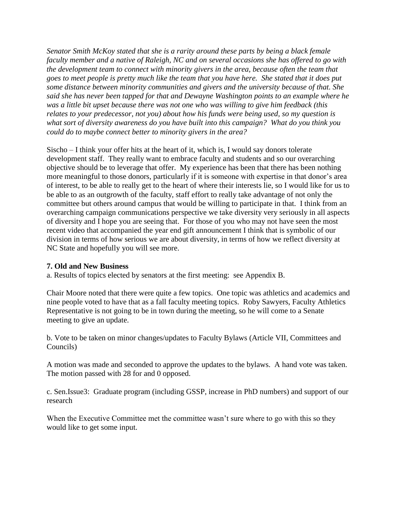*Senator Smith McKoy stated that she is a rarity around these parts by being a black female faculty member and a native of Raleigh, NC and on several occasions she has offered to go with the development team to connect with minority givers in the area, because often the team that goes to meet people is pretty much like the team that you have here. She stated that it does put some distance between minority communities and givers and the university because of that. She said she has never been tapped for that and Dewayne Washington points to an example where he was a little bit upset because there was not one who was willing to give him feedback (this relates to your predecessor, not you) about how his funds were being used, so my question is what sort of diversity awareness do you have built into this campaign? What do you think you could do to maybe connect better to minority givers in the area?* 

Sischo – I think your offer hits at the heart of it, which is, I would say donors tolerate development staff. They really want to embrace faculty and students and so our overarching objective should be to leverage that offer. My experience has been that there has been nothing more meaningful to those donors, particularly if it is someone with expertise in that donor's area of interest, to be able to really get to the heart of where their interests lie, so I would like for us to be able to as an outgrowth of the faculty, staff effort to really take advantage of not only the committee but others around campus that would be willing to participate in that. I think from an overarching campaign communications perspective we take diversity very seriously in all aspects of diversity and I hope you are seeing that. For those of you who may not have seen the most recent video that accompanied the year end gift announcement I think that is symbolic of our division in terms of how serious we are about diversity, in terms of how we reflect diversity at NC State and hopefully you will see more.

# **7. Old and New Business**

a. Results of topics elected by senators at the first meeting: see Appendix B.

Chair Moore noted that there were quite a few topics. One topic was athletics and academics and nine people voted to have that as a fall faculty meeting topics. Roby Sawyers, Faculty Athletics Representative is not going to be in town during the meeting, so he will come to a Senate meeting to give an update.

b. Vote to be taken on minor changes/updates to Faculty Bylaws (Article VII, Committees and Councils)

A motion was made and seconded to approve the updates to the bylaws. A hand vote was taken. The motion passed with 28 for and 0 opposed.

c. Sen.Issue3: Graduate program (including GSSP, increase in PhD numbers) and support of our research

When the Executive Committee met the committee wasn't sure where to go with this so they would like to get some input.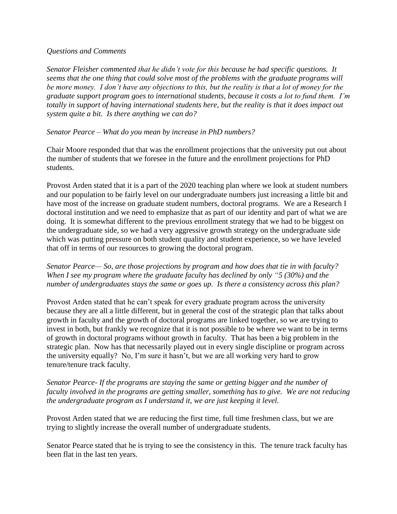#### *Questions and Comments*

*Senator Fleisher commented that he didn't vote for this because he had specific questions. It seems that the one thing that could solve most of the problems with the graduate programs will be more money. I don't have any objections to this, but the reality is that a lot of money for the graduate support program goes to international students, because it costs a lot to fund them. I'm totally in support of having international students here, but the reality is that it does impact out system quite a bit. Is there anything we can do?*

### *Senator Pearce – What do you mean by increase in PhD numbers?*

Chair Moore responded that that was the enrollment projections that the university put out about the number of students that we foresee in the future and the enrollment projections for PhD students.

Provost Arden stated that it is a part of the 2020 teaching plan where we look at student numbers and our population to be fairly level on our undergraduate numbers just increasing a little bit and have most of the increase on graduate student numbers, doctoral programs. We are a Research I doctoral institution and we need to emphasize that as part of our identity and part of what we are doing. It is somewhat different to the previous enrollment strategy that we had to be biggest on the undergraduate side, so we had a very aggressive growth strategy on the undergraduate side which was putting pressure on both student quality and student experience, so we have leveled that off in terms of our resources to growing the doctoral program.

# *Senator Pearce— So, are those projections by program and how does that tie in with faculty? When I see my program where the graduate faculty has declined by only "5 (30%) and the number of undergraduates stays the same or goes up. Is there a consistency across this plan?*

Provost Arden stated that he can't speak for every graduate program across the university because they are all a little different, but in general the cost of the strategic plan that talks about growth in faculty and the growth of doctoral programs are linked together, so we are trying to invest in both, but frankly we recognize that it is not possible to be where we want to be in terms of growth in doctoral programs without growth in faculty. That has been a big problem in the strategic plan. Now has that necessarily played out in every single discipline or program across the university equally? No, I'm sure it hasn't, but we are all working very hard to grow tenure/tenure track faculty.

# *Senator Pearce- If the programs are staying the same or getting bigger and the number of faculty involved in the programs are getting smaller, something has to give. We are not reducing the undergraduate program as I understand it, we are just keeping it level.*

Provost Arden stated that we are reducing the first time, full time freshmen class, but we are trying to slightly increase the overall number of undergraduate students.

Senator Pearce stated that he is trying to see the consistency in this. The tenure track faculty has been flat in the last ten years.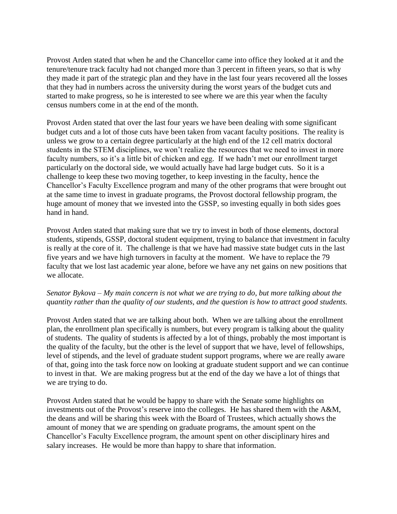Provost Arden stated that when he and the Chancellor came into office they looked at it and the tenure/tenure track faculty had not changed more than 3 percent in fifteen years, so that is why they made it part of the strategic plan and they have in the last four years recovered all the losses that they had in numbers across the university during the worst years of the budget cuts and started to make progress, so he is interested to see where we are this year when the faculty census numbers come in at the end of the month.

Provost Arden stated that over the last four years we have been dealing with some significant budget cuts and a lot of those cuts have been taken from vacant faculty positions. The reality is unless we grow to a certain degree particularly at the high end of the 12 cell matrix doctoral students in the STEM disciplines, we won't realize the resources that we need to invest in more faculty numbers, so it's a little bit of chicken and egg. If we hadn't met our enrollment target particularly on the doctoral side, we would actually have had large budget cuts. So it is a challenge to keep these two moving together, to keep investing in the faculty, hence the Chancellor's Faculty Excellence program and many of the other programs that were brought out at the same time to invest in graduate programs, the Provost doctoral fellowship program, the huge amount of money that we invested into the GSSP, so investing equally in both sides goes hand in hand.

Provost Arden stated that making sure that we try to invest in both of those elements, doctoral students, stipends, GSSP, doctoral student equipment, trying to balance that investment in faculty is really at the core of it. The challenge is that we have had massive state budget cuts in the last five years and we have high turnovers in faculty at the moment. We have to replace the 79 faculty that we lost last academic year alone, before we have any net gains on new positions that we allocate.

# *Senator Bykova – My main concern is not what we are trying to do, but more talking about the quantity rather than the quality of our students, and the question is how to attract good students.*

Provost Arden stated that we are talking about both. When we are talking about the enrollment plan, the enrollment plan specifically is numbers, but every program is talking about the quality of students. The quality of students is affected by a lot of things, probably the most important is the quality of the faculty, but the other is the level of support that we have, level of fellowships, level of stipends, and the level of graduate student support programs, where we are really aware of that, going into the task force now on looking at graduate student support and we can continue to invest in that. We are making progress but at the end of the day we have a lot of things that we are trying to do.

Provost Arden stated that he would be happy to share with the Senate some highlights on investments out of the Provost's reserve into the colleges. He has shared them with the A&M, the deans and will be sharing this week with the Board of Trustees, which actually shows the amount of money that we are spending on graduate programs, the amount spent on the Chancellor's Faculty Excellence program, the amount spent on other disciplinary hires and salary increases. He would be more than happy to share that information.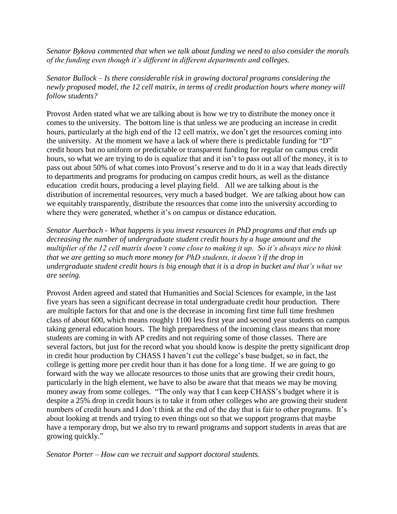*Senator Bykova commented that when we talk about funding we need to also consider the morals of the funding even though it's different in different departments and colleges.* 

*Senator Bullock – Is there considerable risk in growing doctoral programs considering the newly proposed model, the 12 cell matrix, in terms of credit production hours where money will follow students?*

Provost Arden stated what we are talking about is how we try to distribute the money once it comes to the university. The bottom line is that unless we are producing an increase in credit hours, particularly at the high end of the 12 cell matrix, we don't get the resources coming into the university. At the moment we have a lack of where there is predictable funding for "D" credit hours but no uniform or predictable or transparent funding for regular on campus credit hours, so what we are trying to do is equalize that and it isn't to pass out all of the money, it is to pass out about 50% of what comes into Provost's reserve and to do it in a way that leads directly to departments and programs for producing on campus credit hours, as well as the distance education credit hours, producing a level playing field. All we are talking about is the distribution of incremental resources, very much a based budget. We are talking about how can we equitably transparently, distribute the resources that come into the university according to where they were generated, whether it's on campus or distance education.

*Senator Auerbach - What happens is you invest resources in PhD programs and that ends up decreasing the number of undergraduate student credit hours by a huge amount and the multiplier of the 12 cell matrix doesn't come close to making it up. So it's always nice to think that we are getting so much more money for PhD students, it doesn't if the drop in undergraduate student credit hours is big enough that it is a drop in bucket and that's what we are seeing.* 

Provost Arden agreed and stated that Humanities and Social Sciences for example, in the last five years has seen a significant decrease in total undergraduate credit hour production. There are multiple factors for that and one is the decrease in incoming first time full time freshmen class of about 600, which means roughly 1100 less first year and second year students on campus taking general education hours. The high preparedness of the incoming class means that more students are coming in with AP credits and not requiring some of those classes. There are several factors, but just for the record what you should know is despite the pretty significant drop in credit hour production by CHASS I haven't cut the college's base budget, so in fact, the college is getting more per credit hour than it has done for a long time. If we are going to go forward with the way we allocate resources to those units that are growing their credit hours, particularly in the high element, we have to also be aware that that means we may be moving money away from some colleges. "The only way that I can keep CHASS's budget where it is despite a 25% drop in credit hours is to take it from other colleges who are growing their student numbers of credit hours and I don't think at the end of the day that is fair to other programs. It's about looking at trends and trying to even things out so that we support programs that maybe have a temporary drop, but we also try to reward programs and support students in areas that are growing quickly."

*Senator Porter – How can we recruit and support doctoral students.*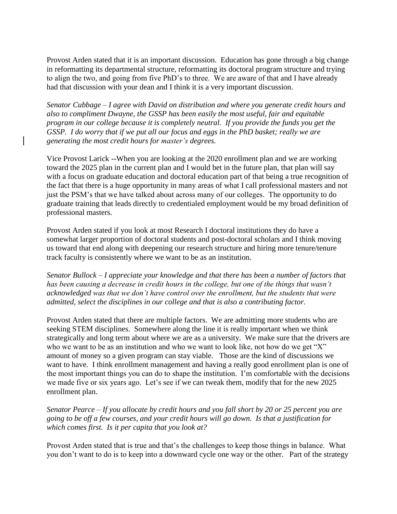Provost Arden stated that it is an important discussion. Education has gone through a big change in reformatting its departmental structure, reformatting its doctoral program structure and trying to align the two, and going from five PhD's to three. We are aware of that and I have already had that discussion with your dean and I think it is a very important discussion.

*Senator Cubbage – I agree with David on distribution and where you generate credit hours and also to compliment Dwayne, the GSSP has been easily the most useful, fair and equitable program in our college because it is completely neutral. If you provide the funds you get the GSSP. I do worry that if we put all our focus and eggs in the PhD basket; really we are generating the most credit hours for master's degrees.* 

Vice Provost Larick --When you are looking at the 2020 enrollment plan and we are working toward the 2025 plan in the current plan and I would bet in the future plan, that plan will say with a focus on graduate education and doctoral education part of that being a true recognition of the fact that there is a huge opportunity in many areas of what I call professional masters and not just the PSM's that we have talked about across many of our colleges. The opportunity to do graduate training that leads directly to credentialed employment would be my broad definition of professional masters.

Provost Arden stated if you look at most Research I doctoral institutions they do have a somewhat larger proportion of doctoral students and post-doctoral scholars and I think moving us toward that end along with deepening our research structure and hiring more tenure/tenure track faculty is consistently where we want to be as an institution.

*Senator Bullock – I appreciate your knowledge and that there has been a number of factors that has been causing a decrease in credit hours in the college, but one of the things that wasn't acknowledged was that we don't have control over the enrollment, but the students that were admitted, select the disciplines in our college and that is also a contributing factor.* 

Provost Arden stated that there are multiple factors. We are admitting more students who are seeking STEM disciplines. Somewhere along the line it is really important when we think strategically and long term about where we are as a university. We make sure that the drivers are who we want to be as an institution and who we want to look like, not how do we get "X" amount of money so a given program can stay viable. Those are the kind of discussions we want to have. I think enrollment management and having a really good enrollment plan is one of the most important things you can do to shape the institution. I'm comfortable with the decisions we made five or six years ago. Let's see if we can tweak them, modify that for the new 2025 enrollment plan.

*Senator Pearce – If you allocate by credit hours and you fall short by 20 or 25 percent you are going to be off a few courses, and your credit hours will go down. Is that a justification for which comes first. Is it per capita that you look at?*

Provost Arden stated that is true and that's the challenges to keep those things in balance. What you don't want to do is to keep into a downward cycle one way or the other. Part of the strategy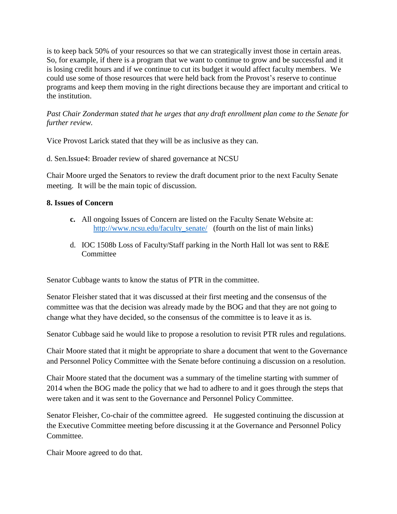is to keep back 50% of your resources so that we can strategically invest those in certain areas. So, for example, if there is a program that we want to continue to grow and be successful and it is losing credit hours and if we continue to cut its budget it would affect faculty members. We could use some of those resources that were held back from the Provost's reserve to continue programs and keep them moving in the right directions because they are important and critical to the institution.

*Past Chair Zonderman stated that he urges that any draft enrollment plan come to the Senate for further review.* 

Vice Provost Larick stated that they will be as inclusive as they can.

d. Sen.Issue4: Broader review of shared governance at NCSU

Chair Moore urged the Senators to review the draft document prior to the next Faculty Senate meeting. It will be the main topic of discussion.

# **8. Issues of Concern**

- **c.** All ongoing Issues of Concern are listed on the Faculty Senate Website at: [http://www.ncsu.edu/faculty\\_senate/](http://www.ncsu.edu/faculty_senate/) (fourth on the list of main links)
- d. IOC 1508b Loss of Faculty/Staff parking in the North Hall lot was sent to R&E **Committee**

Senator Cubbage wants to know the status of PTR in the committee.

Senator Fleisher stated that it was discussed at their first meeting and the consensus of the committee was that the decision was already made by the BOG and that they are not going to change what they have decided, so the consensus of the committee is to leave it as is.

Senator Cubbage said he would like to propose a resolution to revisit PTR rules and regulations.

Chair Moore stated that it might be appropriate to share a document that went to the Governance and Personnel Policy Committee with the Senate before continuing a discussion on a resolution.

Chair Moore stated that the document was a summary of the timeline starting with summer of 2014 when the BOG made the policy that we had to adhere to and it goes through the steps that were taken and it was sent to the Governance and Personnel Policy Committee.

Senator Fleisher, Co-chair of the committee agreed. He suggested continuing the discussion at the Executive Committee meeting before discussing it at the Governance and Personnel Policy Committee.

Chair Moore agreed to do that.